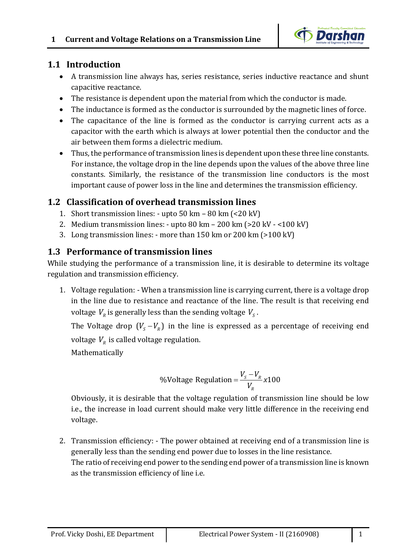

# **1.1 Introduction**

- A transmission line always has, series resistance, series inductive reactance and shunt capacitive reactance.
- The resistance is dependent upon the material from which the conductor is made.
- The inductance is formed as the conductor is surrounded by the magnetic lines of force.
- The capacitance of the line is formed as the conductor is carrying current acts as a capacitor with the earth which is always at lower potential then the conductor and the air between them forms a dielectric medium.
- Thus, the performance of transmission lines is dependent upon these three line constants. For instance, the voltage drop in the line depends upon the values of the above three line constants. Similarly, the resistance of the transmission line conductors is the most important cause of power loss in the line and determines the transmission efficiency.

# **1.2 Classification of overhead transmission lines**

- 1. Short transmission lines: upto 50 km 80 km (<20 kV)
- 2. Medium transmission lines: upto 80 km 200 km (>20 kV <100 kV)
- 3. Long transmission lines: more than 150 km or 200 km (>100 kV)

# **1.3 Performance of transmission lines**

While studying the performance of a transmission line, it is desirable to determine its voltage regulation and transmission efficiency.

1. Voltage regulation: - When a transmission line is carrying current, there is a voltage drop in the line due to resistance and reactance of the line. The result is that receiving end voltage  $V_{R}$  is generally less than the sending voltage  $V_{S}$  .

The Voltage drop  $(V_s - V_n)$  in the line is expressed as a percentage of receiving end voltage  $V_R$  is called voltage regulation.

Mathematically

% Voltage Regulation = 
$$
\frac{V_s - V_R}{V_R} \times 100
$$

Obviously, it is desirable that the voltage regulation of transmission line should be low i.e., the increase in load current should make very little difference in the receiving end voltage.

2. Transmission efficiency: - The power obtained at receiving end of a transmission line is generally less than the sending end power due to losses in the line resistance. The ratio of receiving end power to the sending end power of a transmission line is known as the transmission efficiency of line i.e.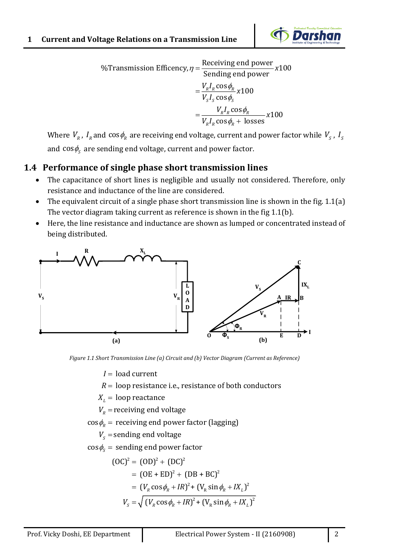

%Transmission Efficency,  $\eta = \frac{\text{Receiving end power}}{8.100} \times 100$  $\phi_{i}$  $=\frac{V_R I_R \cos \phi_R}{V_S I_S \cos \phi_S} x 100$  $\phi$  $=\frac{W_R I_R \cos \phi_R +$ Sending end power *x* cos  $\frac{\cos \phi_R}{\sigma}$  x100  $\cos \phi$  + losses  $R - R$ <sup> $\bullet$ </sup>  $S^{\perp}S$  so  $\varphi_{S}$  $R \cdot R$   $\sim$   $\sim$   $\varphi_R$  $R$ <sup>*R*</sup> $R$ </sub>  $\sim$   $\sim$   $\varphi$ <sub> $R$ </sub>  $\frac{V_R I_R \cos \phi_R}{V_c I_c \cos \phi_c} x$  $\frac{V_R I_R \cos \phi_R}{V_S I_S \cos \phi_R + \text{losses}}$ 

Where  $V_{_R}$  ,  $I_{_R}$  and  $\cos\phi_{_R}$  are receiving end voltage, current and power factor while  $V_{_S}$  ,  $I_{_S}$ and  $\cos\phi_{_{\rm S}}$  are sending end voltage, current and power factor.

# **1.4 Performance of single phase short transmission lines**

- The capacitance of short lines is negligible and usually not considered. Therefore, only resistance and inductance of the line are considered.
- The equivalent circuit of a single phase short transmission line is shown in the fig. 1.1(a) The vector diagram taking current as reference is shown in the fig 1.1(b).
- Here, the line resistance and inductance are shown as lumped or concentrated instead of being distributed.



*Figure 1.1 Short Transmission Line (a) Circuit and (b) Vector Diagram (Current as Reference)*

 $I = \,{\sf load}$  current

 $R=$  loop resistance i.e., resistance of both conductors

 $X_{\iota}$  = loop reactance

 $V_{\scriptscriptstyle R}$  = receiving end voltage

 $\cos \phi_{\scriptscriptstyle R}^{}$  = receiving end power factor (lagging)

 $V_{\scriptscriptstyle S}$  = sending end voltage

 $\cos\phi_{\!S}^{} = \,$  sending end power factor

$$
(OC)2 = (OD)2 + (DC)2
$$
  
= (OE + ED)<sup>2</sup> + (DB + BC)<sup>2</sup>  
= (V<sub>R</sub> cos  $\phi_R$  + IR)<sup>2</sup> + (V<sub>R</sub> sin  $\phi_R$  + IX<sub>L</sub>)<sup>2</sup>  

$$
VS = \sqrt{(VR cos  $\phi_R$  + IR)<sup>2</sup> + (V<sub>R</sub> sin  $\phi_R$  + IX<sub>L</sub>)<sup>2</sup>)}
$$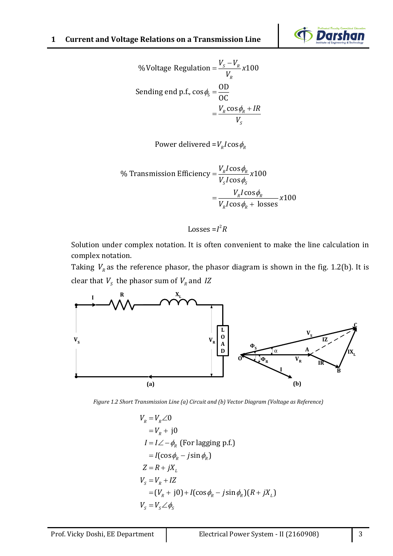

% Voltage Regulation = 
$$
\frac{V_s - V_R}{V_R} \times 100
$$
  
Sending end p.f.,  $\cos \phi_s = \frac{OD}{OC}$   
=  $\frac{V_R \cos \phi_R + IR}{V_S}$ 

Power delivered = $V_{\scriptscriptstyle R} I$  cos $\phi_{\scriptscriptstyle R}$ 

% Transmission Efficiency 
$$
=\frac{V_R I \cos \phi_R}{V_S I \cos \phi_S} \times 100
$$
  
 $=\frac{V_R I \cos \phi_R}{V_R I \cos \phi_R + \text{losses}} \times 100$ 

#### Losses =I<sup>2</sup>R

Solution under complex notation. It is often convenient to make the line calculation in complex notation.

Taking  $V_{R}$  as the reference phasor, the phasor diagram is shown in the fig. 1.2(b). It is clear that  $V_s$  the phasor sum of  $V_R$  and *IZ* 



*Figure 1.2 Short Transmission Line (a) Circuit and (b) Vector Diagram (Voltage as Reference)*

$$
V_R = V_R \angle 0
$$
  
=  $V_R$  + j0  
 $I = I \angle -\phi_R$  (For lagging p.f.)  
=  $I(\cos \phi_R - j \sin \phi_R)$   
 $Z = R + jX_L$   
 $V_S = V_R + IZ$   
=  $(V_R + j0) + I(\cos \phi_R - j \sin \phi_R)(R + jX_L)$   
 $V_S = V_S \angle \phi_S$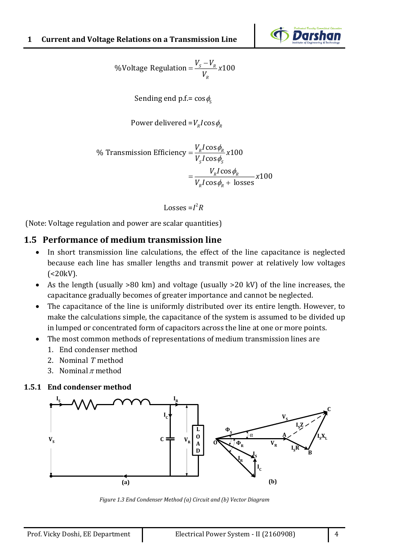

% Voltage Regulation = 
$$
\frac{V_s - V_R}{V_R} \times 100
$$

Sending end p.f.=  $\cos\phi_{\rm s}$ 

Power delivered = 
$$
V_R I \cos \phi_R
$$

% Transmission Efficiency = 
$$
\frac{V_R I \cos \phi_R}{V_S I \cos \phi_S}
$$
 x100  
=  $\frac{V_R I \cos \phi_R}{V_R I \cos \phi_R + \text{losses}}$  x100

Losses =I<sup>2</sup>R

(Note: Voltage regulation and power are scalar quantities)

### **1.5 Performance of medium transmission line**

- In short transmission line calculations, the effect of the line capacitance is neglected because each line has smaller lengths and transmit power at relatively low voltages  $( $20kV$ ).$
- As the length (usually >80 km) and voltage (usually >20 kV) of the line increases, the capacitance gradually becomes of greater importance and cannot be neglected.
- The capacitance of the line is uniformly distributed over its entire length. However, to make the calculations simple, the capacitance of the system is assumed to be divided up in lumped or concentrated form of capacitors across the line at one or more points.
- The most common methods of representations of medium transmission lines are
	- 1. End condenser method
	- 2. Nominal *T* method
	- 3. Nominal  $\pi$  method

#### **1.5.1 End condenser method**



*Figure 1.3 End Condenser Method (a) Circuit and (b) Vector Diagram*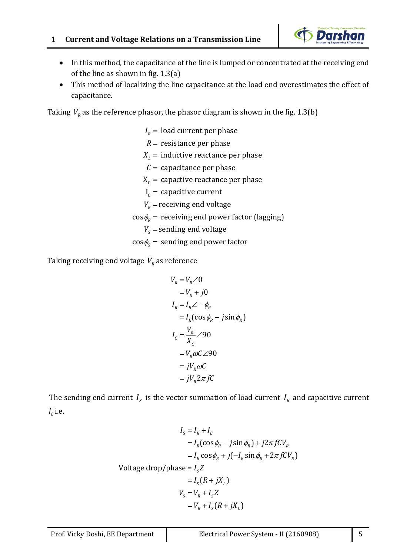

- In this method, the capacitance of the line is lumped or concentrated at the receiving end of the line as shown in fig. 1.3(a)
- This method of localizing the line capacitance at the load end overestimates the effect of capacitance.

Taking  $V_R^{\parallel}$  as the reference phasor, the phasor diagram is shown in the fig. 1.3(b)

 $\rm X_c$  = capactive reactance per phase  $\boldsymbol{\mathrm{I}}_{\text{c}}$  = capacitive current  $I_{\scriptscriptstyle R}^{}$  = load current per phase *R* = resistance per phase  $X_{\rm\scriptscriptstyle L}^{}$  = inductive reactance per phase  ${\cal C}=$  capacitance per phase  $V_{\scriptscriptstyle R}$  = receiving end voltage  $\cos \phi_{\scriptscriptstyle R}^{}$  = receiving end power factor (lagging)  $V_{\scriptscriptstyle S}$  = sending end voltage  $\cos\phi_{\text{\tiny S}}^{} = \text{ sending end power factor}$ 

Taking receiving end voltage  $V_{\scriptscriptstyle R}$  as reference

$$
V_R = V_R \angle 0
$$
  
=  $V_R + j0$   

$$
I_R = I_R \angle -\phi_R
$$
  
=  $I_R(\cos \phi_R - j \sin \phi_R)$   

$$
I_C = \frac{V_R}{X_C} \angle 90
$$
  
=  $V_R \omega C \angle 90$   
=  $jV_R \omega C$   
=  $jV_R 2\pi fC$ 

The sending end current  $I_s$  is the vector summation of load current  $I_R$  and capacitive current  $I_c$  i.e.

$$
I_s = I_R + I_C
$$
  
=  $I_R(\cos \phi_R - j \sin \phi_R) + j2\pi fCV_R$   
=  $I_R \cos \phi_R + j(-I_R \sin \phi_R + 2\pi fCV_R)$   
Voltage drop/phase =  $I_s Z$   
=  $I_s (R + jX_L)$   
 $V_s = V_R + I_s Z$   
=  $V_R + I_s (R + jX_L)$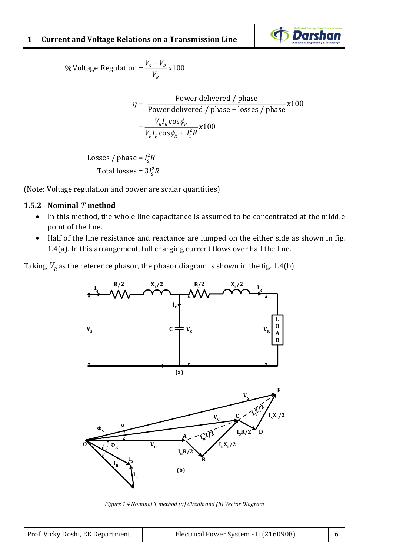

% Voltage Regulation = 
$$
\frac{V_s - V_R}{V_R} \times 100
$$

$$
\eta = \frac{\text{Power delivered } / \text{ phase}}{\text{Power delivered } / \text{ phase} + \text{losses } / \text{ phase}} \times 100
$$

$$
= \frac{V_R I_R \cos \phi_R}{V_R I_R \cos \phi_R + I_S^2 R} \times 100
$$

2 Losses / phase = I $_{\rm s}^{\rm z}$ *R* 2 Total losses =  $3I^2_{\rm s}R$ 

(Note: Voltage regulation and power are scalar quantities)

### **1.5.2 Nominal**  *T* **method**

- In this method, the whole line capacitance is assumed to be concentrated at the middle point of the line.
- Half of the line resistance and reactance are lumped on the either side as shown in fig. 1.4(a). In this arrangement, full charging current flows over half the line.

Taking  $V_R^{\parallel}$  as the reference phasor, the phasor diagram is shown in the fig. 1.4(b)



*Figure 1.4 Nominal T method (a) Circuit and (b) Vector Diagram*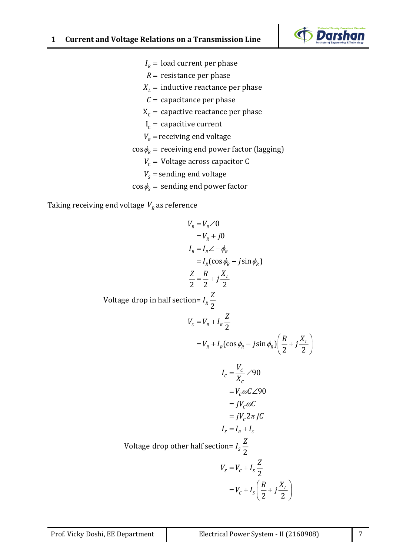

- $I_{\scriptscriptstyle R}^{}$  = load current per phase
- *R* = resistance per phase
- $X_{\iota}$  = inductive reactance per phase
- ${\cal C}=$  capacitance per phase
- $\rm X_c$  = capactive reactance per phase
- $\boldsymbol{\mathrm{I}}_{\text{c}}$  = capacitive current
- $V_{\scriptscriptstyle R}$  = receiving end voltage
- $\cos \phi_{_{\!R}}^{}$  = receiving end power factor (lagging)
	- $V_{\rm c}$  = Voltage across capacitor C
	- $V_{\scriptscriptstyle S}$  = sending end voltage
- $\cos\phi_{\text{\tiny S}}^{} = \text{ sending end power factor}$

Taking receiving end voltage  $\emph{V}_{\rho}$  as reference

$$
V_R = V_R \angle 0
$$
  
\n
$$
= V_R + j0
$$
  
\n
$$
I_R = I_R \angle -\phi_R
$$
  
\n
$$
= I_R(\cos \phi_R - j \sin \phi_R)
$$
  
\n
$$
\frac{Z}{2} = \frac{R}{2} + j \frac{X_L}{2}
$$
  
\n
$$
V_C = V_R + I_R \frac{Z}{2}
$$
  
\n
$$
= V_R + I_R(\cos \phi_R - j \sin \phi_R) \left(\frac{R}{2} + j \frac{X_L}{2}\right)
$$
  
\n
$$
I_C = \frac{V_C}{X_C} \angle 90
$$
  
\n
$$
= V_C \omega C \angle 90
$$
  
\n
$$
= jV_C \omega C
$$
  
\n
$$
= jV_C 2\pi fC
$$
  
\n
$$
I_S = I_R + I_C
$$
  
\n
$$
V_S = V_C + I_S \frac{Z}{2}
$$
  
\n
$$
= V_C + I_S \left(\frac{R}{2} + j \frac{X_L}{2}\right)
$$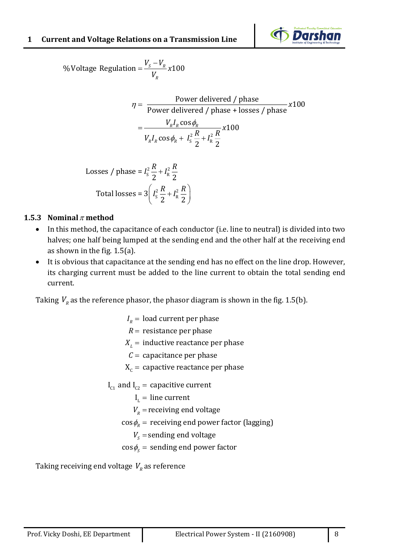

%Voltage Regulation =  $\frac{r_s - r_R}{r_s}$  x100 *R*  $V_{c} - V$ *x V*  $=\frac{v_s-}{\sqrt{2}}$ 

$$
\eta = \frac{\text{Power delivered } / \text{ phase}}{\text{Power delivered } / \text{ phase} + \text{losses } / \text{ phase}} \times 100
$$

$$
= \frac{V_R I_R \cos \phi_R}{V_R I_R \cos \phi_R + I_S^2 \frac{R}{2} + I_R^2 \frac{R}{2}} \times 100
$$

Losses / phase = 
$$
I_s^2 \frac{R}{2} + I_R^2 \frac{R}{2}
$$
  
Total losses =  $3 \left( I_s^2 \frac{R}{2} + I_R^2 \frac{R}{2} \right)$ 

### **1.5.3** Nominal  $\pi$  method

- In this method, the capacitance of each conductor (i.e. line to neutral) is divided into two halves; one half being lumped at the sending end and the other half at the receiving end as shown in the fig. 1.5(a).
- It is obvious that capacitance at the sending end has no effect on the line drop. However, its charging current must be added to the line current to obtain the total sending end current.

Taking  $V_{\scriptscriptstyle R}$  as the reference phasor, the phasor diagram is shown in the fig. 1.5(b).

 $\mathcal{L} =$  capacitance per phase<br>X<sub>c</sub> = capactive reactance per phase  $I_R$  = load current per phase  $R$  = resistance per phase  $X_{\mu}$  = inductive reactance per phase  $C =$  capacitance per phase  ${\rm I}_{\rm c1}$  and  ${\rm I}_{\rm c2}$  = capacitive current  $\boldsymbol{\mathrm{I}}_{_\mathrm{L}}$  = line current  $V_{\scriptscriptstyle R}$  = receiving end voltage  $\cos \phi_{\scriptscriptstyle R}^{}$  = receiving end power factor (lagging)  $V_{_S}$  = sending end voltage  $\cos\phi_{\!S}^{} = \textrm{ sending end power factor}$ 

Taking receiving end voltage  $V_{\scriptscriptstyle R}$  as reference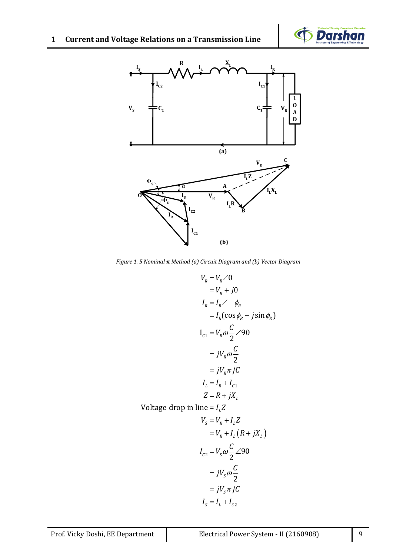



*Figure 1. 5 Nominal π Method (a) Circuit Diagram and (b) Vector Diagram*

$$
V_R = V_R \angle 0
$$
  
=  $V_R + j0$   
 $I_R = I_R \angle -\phi_R$   
=  $I_R(\cos \phi_R - j \sin \phi_R)$   
 $I_{C1} = V_R \omega \frac{C}{2} \angle 90$   
=  $jV_R \omega \frac{C}{2}$   
=  $jV_R \pi fC$   
 $I_L = I_R + I_{C1}$   
 $Z = R + jX_L$   
 $\ln \text{ line} = I.Z$ 

Voltage drop in *L I Z*

$$
V_s = V_R + I_L Z
$$
  
=  $V_R + I_L (R + jX_L)$   

$$
I_{c2} = V_s \omega \frac{C}{2} \angle 90
$$
  
=  $jV_s \omega \frac{C}{2}$   
=  $jV_s \pi fC$   

$$
I_s = I_L + I_{c2}
$$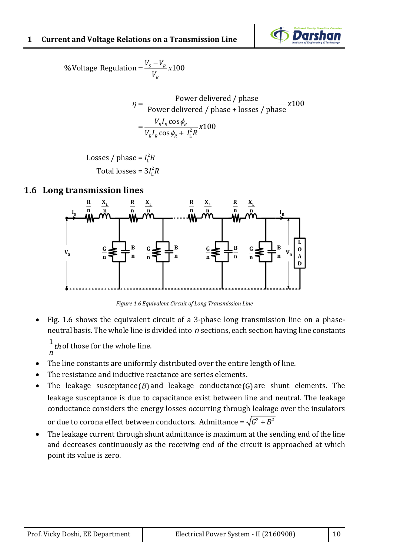#### **1 Current and Voltage Relations on a Transmission Line**



**11 and voltage Relations on a Transport of the V**s Voltage Regulation  $= \frac{V_s - V_R}{V_R} x 100$  $\frac{V_s - V_R}{V}$ *R* **i** *v*<sub>*s*</sub>  $-V_R$ <sub>*v*</sub><br>*v*<sub>*v*</sub> *V*  $=\frac{V_s-}{\sqrt{2}}$ 

$$
\eta = \frac{\text{Power delivered } / \text{ phase}}{\text{Power delivered } / \text{ phase} + \text{losses } / \text{ phase}} \times 100
$$

$$
= \frac{V_R I_R \cos \phi_R}{V_R I_R \cos \phi_R + I_L^2 R} \times 100
$$

2 Losses / phase =  $I_{\text{L}}^2$ 2 Total losses =  $3I_{\rm L}^2$  $V_R I$ <br> $I_L^2 R$  $I_{\rm L}^2 R$ 

### **1.6 Long transmission lines**



*Figure 1.6 Equivalent Circuit of Long Transmission Line*

• Fig. 1.6 shows the equivalent circuit of a 3-phase long transmission line on a phaseneutral basis. The whole line is divided into n sections, each section having line constants

 $\frac{1}{\pi}$ *th* of those for the whole line. *n*

- The line constants are uniformly distributed over the entire length of line.
- The resistance and inductive reactance are series elements.
- The leakage susceptance $(B)$  and leakage conductance $(G)$  are shunt elements. The leakage susceptance is due to capacitance exist between line and neutral. The leakage conductance considers the energy losses occurring through leakage over the insulators or due to corona effect between conductors. Admittance =  $\sqrt{G^2+B^2}$
- The leakage current through shunt admittance is maximum at the sending end of the line and decreases continuously as the receiving end of the circuit is approached at which point its value is zero.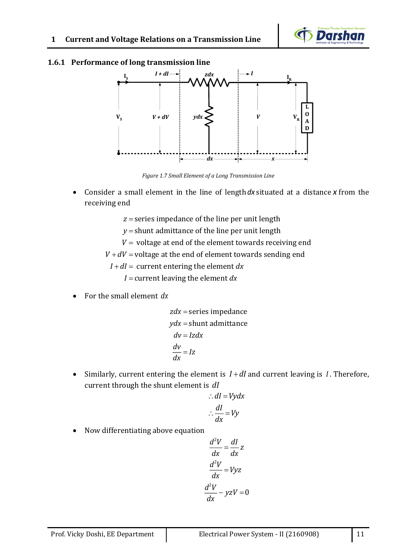

#### **1.6.1 Performance of long transmission line**



*Figure 1.7 Small Element of a Long Transmission Line*

• Consider a small element in the line of length *dx* situated at a distance *x* from the receiving end

*z* = series impedance of the line per unit length

 $y$  = shunt admittance of the line per unit length

 $V_\mathrm{}=$  voltage at end of the element towards receiving end

 $V$  +  $dV$  = voltage at the end of element towards sending end

*I* + *dI* = current entering the element *dx* 

*I* = current leaving the element *dx* 

• For the small element *dx*

$$
zdx = series impedance
$$
  
\n
$$
ydx = shunt admittance
$$
  
\n
$$
dv = Izdx
$$
  
\n
$$
\frac{dv}{dx} = Iz
$$

• Similarly, current entering the element is  $I + dI$  and current leaving is  $I$ . Therefore, current through the shunt element is *dI*

$$
\therefore dI = Vydx
$$

$$
\therefore \frac{dI}{dx} = Vy
$$

• Now differentiating above equation

$$
\frac{d^2V}{dx} = \frac{dI}{dx}z
$$

$$
\frac{d^2V}{dx} = Vyz
$$

$$
\frac{d^2V}{dx} - yzV = 0
$$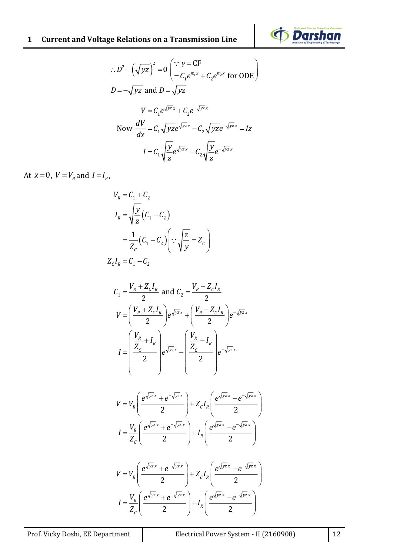# **1 Current and Voltage Relations on a Transmission Line**



$$
\therefore D^2 - (\sqrt{yz})^2 = 0 \left( \because y = \text{CF} \atop = C_1 e^{m_1 x} + C_2 e^{m_2 x} \text{ for ODE} \right)
$$
  

$$
D = -\sqrt{yz} \text{ and } D = \sqrt{yz}
$$
  

$$
V = C_1 e^{\sqrt{yz}x} + C_2 e^{-\sqrt{yz}x}
$$
  
Now 
$$
\frac{dV}{dx} = C_1 \sqrt{yz} e^{\sqrt{yz}x} - C_2 \sqrt{yz} e^{-\sqrt{yz}x} = Iz
$$

$$
I = C_1 \sqrt{\frac{y}{z}} e^{\sqrt{yz}x} - C_2 \sqrt{\frac{y}{z}} e^{-\sqrt{yz}x}
$$

At  $x = 0$ ,  $V = V_R$  and  $I = I_R$ ,

$$
V_R = C_1 + C_2
$$
  
\n
$$
I_R = \sqrt{\frac{y}{z}} (C_1 - C_2)
$$
  
\n
$$
= \frac{1}{Z_c} (C_1 - C_2) \left( \because \sqrt{\frac{z}{y}} = Z_c \right)
$$
  
\n
$$
Z_c I_R = C_1 - C_2
$$

$$
C_1 = \frac{V_R + Z_c I_R}{2} \text{ and } C_2 = \frac{V_R - Z_c I_R}{2}
$$

$$
V = \left(\frac{V_R + Z_c I_R}{2}\right) e^{\sqrt{yz}x} + \left(\frac{V_R - Z_c I_R}{2}\right) e^{-\sqrt{yz}x}
$$

$$
I = \left(\frac{V_R}{Z_c} + I_R}{2}\right) e^{\sqrt{yz}x} - \left(\frac{V_R}{Z_c} - I_R}{2}\right) e^{-\sqrt{yz}x}
$$

$$
V = V_R \left( \frac{e^{\sqrt{yz}x} + e^{-\sqrt{yz}x}}{2} \right) + Z_c I_R \left( \frac{e^{\sqrt{yz}x} - e^{-\sqrt{yz}x}}{2} \right)
$$

$$
I = \frac{V_R}{Z_c} \left( \frac{e^{\sqrt{yz}x} + e^{-\sqrt{yz}x}}{2} \right) + I_R \left( \frac{e^{\sqrt{yz}x} - e^{-\sqrt{yz}x}}{2} \right)
$$

$$
V = V_R \left( \frac{e^{\sqrt{yz}x} + e^{-\sqrt{yz}x}}{2} \right) + Z_c I_R \left( \frac{e^{\sqrt{yz}x} - e^{-\sqrt{yz}x}}{2} \right)
$$

$$
I = \frac{V_R}{Z_c} \left( \frac{e^{\sqrt{yz}x} + e^{-\sqrt{yz}x}}{2} \right) + I_R \left( \frac{e^{\sqrt{yz}x} - e^{-\sqrt{yz}x}}{2} \right)
$$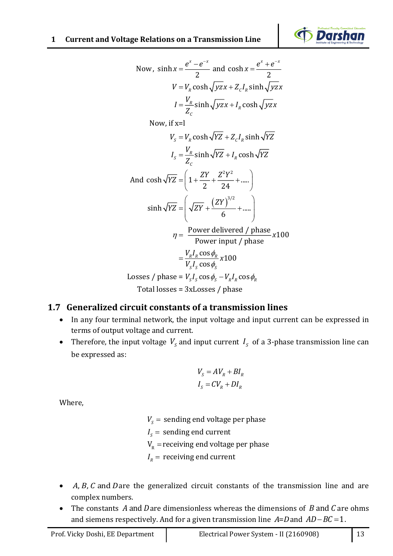

Now, 
$$
\sinh x = \frac{e^x - e^{-x}}{2}
$$
 and  $\cosh x = \frac{e^x + e^{-x}}{2}$   
\n $V = V_g \cosh \sqrt{Jyz} + Z_c I_g \sinh \sqrt{Jzx}$   
\n $I = \frac{V_g}{Z_c} \sinh \sqrt{Jyz} + I_g \cosh \sqrt{Jyz}$   
\nNow, if  $x = 1$   
\n $V_s = V_g \cosh \sqrt{YZ} + Z_c I_g \sinh \sqrt{YZ}$   
\n $I_s = \frac{V_g}{Z_s} \sinh \sqrt{YZ} + I_g \cosh \sqrt{YZ}$   
\nAnd  $\cosh \sqrt{YZ} = \left(1 + \frac{ZY}{2} + \frac{Z^2 Y^2}{24} + \cdots \right)$   
\n $\sinh \sqrt{YZ} = \left(\sqrt{ZY} + \frac{(ZY)^{3/2}}{6} + \cdots \right)$   
\n $\eta = \frac{Power \text{ delivered } f \text{ phase}}{Power \text{ input } f \text{ phase}}$  x100  
\n $\frac{V_{y,1,cos\phi}Z}{V_{y,1,cos\phi} + 100}$   
\nLosses / phase =  $V_s I_s \cos \phi_s - V_s I_s \cos \phi_s$   
\nTotal losses = 3xLosses / phase  
\n1.7 **Generalized circuit constants of a transmission lines**  
\nIn any four terminal network, the input voltage and input current can be expressed at  
\nterms of output voltage and current.  
\n• Therefore, the input voltage V<sub>s</sub> and input current  $I_s$  of a 3-phase transmission line ca  
\nbe expressed as:  
\n $V_s = AV_R + BI_R$   
\n $I_s = CV_s + BI_R$   
\n $I_s = CV_s + DI_t$   
\nWhere,  
\n $V_s =$  sending end voltage per phase  
\n $I_s =$  receiving end current  
\n• A, B, C and D are the generalized circuit constants of the transmission line and an  
\ncomplex numbers.  
\n• The constants of a 3-  
\nand siems respectively. And for a given transmission line A=D and AD=BC=1.  
\nProfit Vicks Dosh, EF Department  
\n• The constant A and D are dimensionless whereas the dimensions of B and C are ohm  
\nand siems respectively. And for a given transmission line A=D and AD=BC=1.  
\n1.

# **1.7 Generalized circuit constants of a transmission lines**

- In any four terminal network, the input voltage and input current can be expressed in terms of output voltage and current.
- Therefore, the input voltage  $V_s$  and input current  $I_s$  of a 3-phase transmission line can be expressed as:

$$
V_s = AV_R + BI_R
$$
  

$$
I_s = CV_R + DI_R
$$

Where,

- $V_{_S}$  =  $\,$  sending end voltage per phase
- $I_{\scriptscriptstyle S}^{}$  = sending end current
- $V_{\rm R}$  = receiving end voltage per phase
- $I_{\scriptscriptstyle R}^{}$  = receiving end current
- *A, B, C* and *D* are the generalized circuit constants of the transmission line and are complex numbers.
- The constants A and Dare dimensionless whereas the dimensions of B and C are ohms and siemens respectively. And for a given transmission line  $A = D$  and  $AD - BC = 1$ .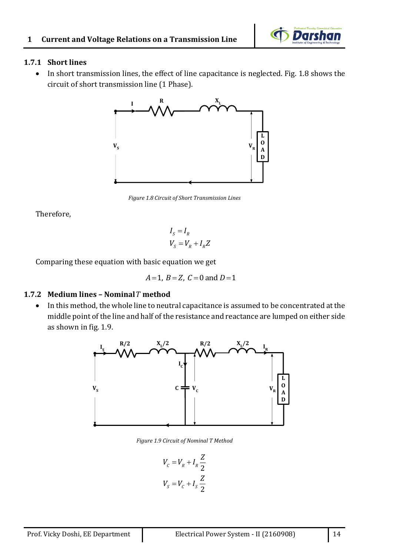

#### **1.7.1 Short lines**

• In short transmission lines, the effect of line capacitance is neglected. Fig. 1.8 shows the circuit of short transmission line (1 Phase).



*Figure 1.8 Circuit of Short Transmission Lines*

Therefore,

$$
I_S = I_R
$$
  

$$
V_S = V_R + I_R Z
$$

Comparing these equation with basic equation we get

$$
A=1, B=Z, C=0
$$
 and  $D=1$ 

### **1.7.2 Medium lines – Nominal** *T* **method**

• In this method, the whole line to neutral capacitance is assumed to be concentrated at the middle point of the line and half of the resistance and reactance are lumped on either side as shown in fig. 1.9.



*Figure 1.9 Circuit of Nominal T Method*

$$
V_c = V_R + I_R \frac{Z}{2}
$$
  

$$
V_s = V_c + I_s \frac{Z}{2}
$$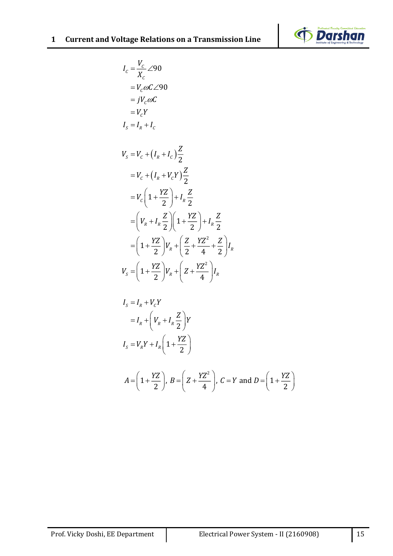



$$
I_c = \frac{V_c}{X_c} \angle 90
$$
  
\n
$$
= V_c \omega C \angle 90
$$
  
\n
$$
= jV_c \omega C
$$
  
\n
$$
= V_c Y
$$
  
\n
$$
I_s = I_R + I_c
$$
  
\n
$$
V_s = V_c + (I_R + I_c) \frac{Z}{2}
$$
  
\n
$$
= V_c + (I_R + V_c Y) \frac{Z}{2}
$$
  
\n
$$
= V_c \left(1 + \frac{YZ}{2}\right) + I_R \frac{Z}{2}
$$
  
\n
$$
= \left(V_R + I_R \frac{Z}{2}\right) \left(1 + \frac{YZ}{2}\right) + I_R \frac{Z}{2}
$$
  
\n
$$
= \left(1 + \frac{YZ}{2}\right) V_R + \left(\frac{Z}{2} + \frac{YZ^2}{4} + \frac{Z}{2}\right) I_R
$$
  
\n
$$
V_s = \left(1 + \frac{YZ}{2}\right) V_R + \left(Z + \frac{YZ^2}{4}\right) I_R
$$

$$
I_{S} = I_{R} + V_{C}Y
$$
  
\n
$$
= I_{R} + \left(V_{R} + I_{R} \frac{Z}{2}\right)Y
$$
  
\n
$$
I_{S} = V_{R}Y + I_{R}\left(1 + \frac{YZ}{2}\right)
$$
  
\n
$$
A = \left(1 + \frac{YZ}{2}\right), B = \left(Z + \frac{YZ^{2}}{4}\right), C = Y \text{ and } D = \left(1 + \frac{YZ}{2}\right)
$$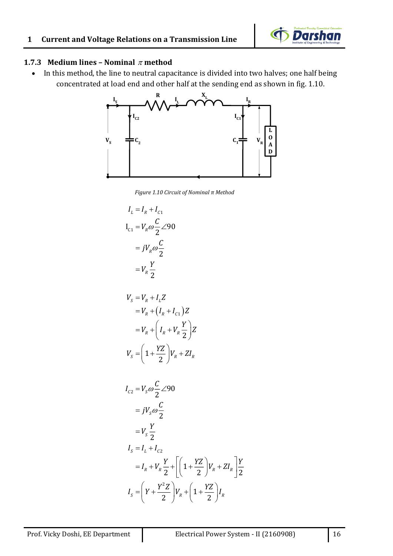

#### **1.7.3** Medium lines – Nominal  $\pi$  method

• In this method, the line to neutral capacitance is divided into two halves; one half being concentrated at load end and other half at the sending end as shown in fig. 1.10.



*Figure 1.10 Circuit of Nominal π Method*

$$
I_L = I_R + I_{C1}
$$
  
\n
$$
I_{C1} = V_R \omega \frac{C}{2} \angle 90
$$
  
\n
$$
= jV_R \omega \frac{C}{2}
$$
  
\n
$$
= V_R \frac{Y}{2}
$$

$$
V_s = V_R + I_L Z
$$
  
=  $V_R + (I_R + I_{C1})Z$   
=  $V_R + (I_R + V_R \frac{Y}{2})Z$   

$$
V_s = (1 + \frac{YZ}{2})V_R + ZI_R
$$

$$
I_{c2} = V_s \omega \frac{C}{2} \angle 90
$$
  
=  $jV_s \omega \frac{C}{2}$   
=  $V_s \frac{Y}{2}$   

$$
I_s = I_L + I_{c2}
$$
  
=  $I_R + V_R \frac{Y}{2} + \left[ \left( 1 + \frac{YZ}{2} \right) V_R + Z I_R \right] \frac{Y}{2}$   

$$
I_s = \left( Y + \frac{Y^2 Z}{2} \right) V_R + \left( 1 + \frac{YZ}{2} \right) I_R
$$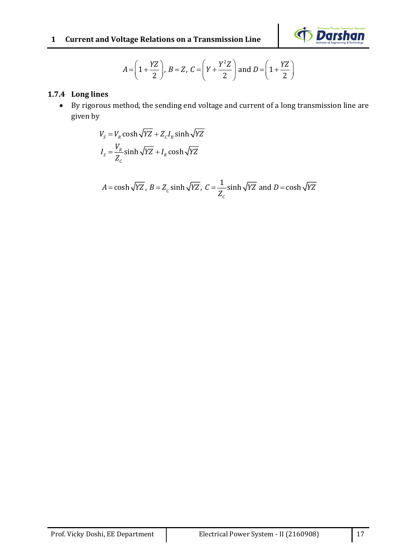

$$
A = \left(1 + \frac{YZ}{2}\right), B = Z, C = \left(Y + \frac{Y^2Z}{2}\right) \text{ and } D = \left(1 + \frac{YZ}{2}\right)
$$

### **1.7.4 Long lines**

• By rigorous method, the sending end voltage and current of a long transmission line are given by

$$
V_s = V_R \cosh\sqrt{YZ} + Z_c I_R \sinh\sqrt{YZ}
$$

$$
I_s = \frac{V_R}{Z_c} \sinh\sqrt{YZ} + I_R \cosh\sqrt{YZ}
$$

$$
A = \cosh\sqrt{YZ}
$$
,  $B = Z_c \sinh\sqrt{YZ}$ ,  $C = \frac{1}{Z_c} \sinh\sqrt{YZ}$  and  $D = \cosh\sqrt{YZ}$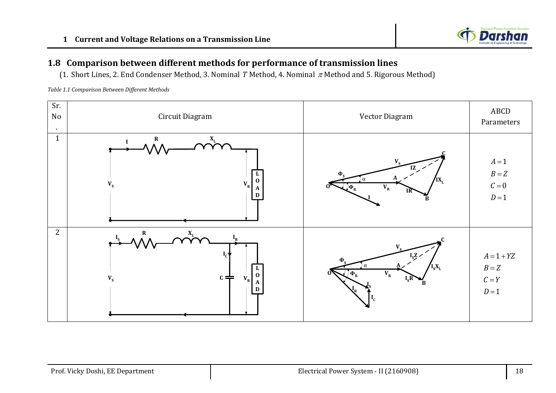

### **1.8 Comparison between different methods for performance of transmission lines**

(1. Short Lines, 2. End Condenser Method, 3. Nominal *T* Method, 4. Nominal  $\pi$  Method and 5. Rigorous Method)

*Table 1.1 Comparison Between Different Methods*

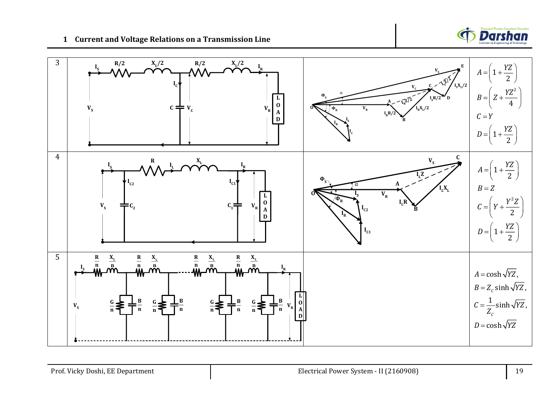

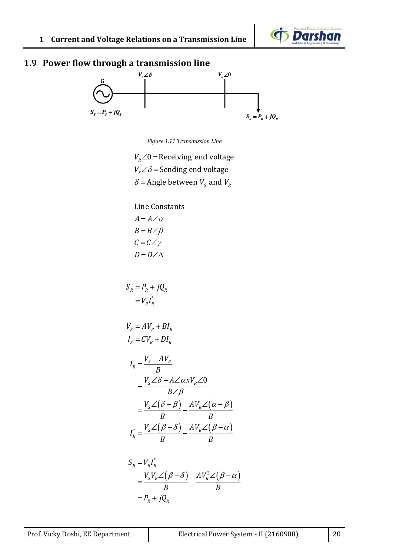

# **1.9 Power flow through a transmission line**



*Figure 1.11 Transmission Line*

 $V_{\scriptscriptstyle R} \angle 0$  = Receiving end voltage  $V_{\scriptscriptstyle S} \angle \delta$  = Sending end voltage  $\delta$  = Angle between  $V_s$  and  $V_R$ 

Line Constants  $A = A \angle \alpha$  $B = B \angle \beta$  $\mathcal{C} = \mathcal{C} \angle \gamma$  $D = D \angle \triangle$ 

$$
S_R = P_R + jQ_R
$$
  
=  $V_R I_R^*$ 

$$
VS = AVR + BIR
$$
  

$$
IS = CVR + DIR
$$

$$
I_R = \frac{V_s - AV_R}{B}
$$
  
= 
$$
\frac{V_s \angle \delta - A \angle \alpha x V_R \angle 0}{B \angle \beta}
$$
  
= 
$$
\frac{V_s \angle (\delta - \beta)}{B} - \frac{AV_R \angle (\alpha - \beta)}{B}
$$
  

$$
I_R^* = \frac{V_s \angle (\beta - \delta)}{B} - \frac{AV_R \angle (\beta - \alpha)}{B}
$$

$$
S_R = V_R I_R^*
$$
  
= 
$$
\frac{V_S V_R \angle (\beta - \delta)}{B} - \frac{A V_R^2 \angle (\beta - \alpha)}{B}
$$
  
= 
$$
P_R + jQ_R
$$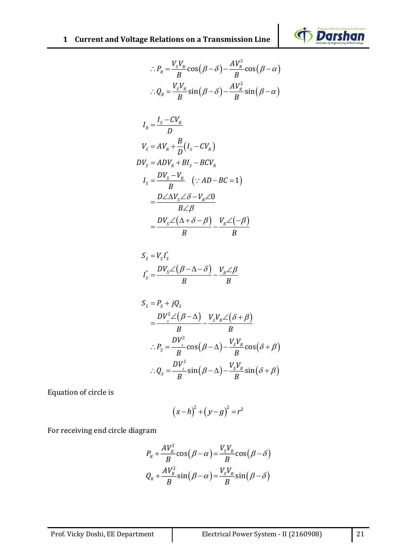

$$
\therefore P_R = \frac{V_S V_R}{B} \cos(\beta - \delta) - \frac{A V_R^2}{B} \cos(\beta - \alpha)
$$

$$
\therefore Q_R = \frac{V_S V_R}{B} \sin(\beta - \delta) - \frac{A V_R^2}{B} \sin(\beta - \alpha)
$$

$$
I_R = \frac{I_s - CV_R}{D}
$$
  
\n
$$
V_s = AV_R + \frac{B}{D}(I_s - CV_R)
$$
  
\n
$$
DV_s = ADV_R + BI_s - BCV_R
$$
  
\n
$$
I_s = \frac{DV_s - V_R}{B} \quad (\because AD - BC = 1)
$$
  
\n
$$
= \frac{D\angle \Delta V_s \angle \delta - V_R \angle 0}{B \angle \beta}
$$
  
\n
$$
= \frac{DV_s \angle (\Delta + \delta - \beta)}{B} - \frac{V_R \angle (-\beta)}{B}
$$

$$
S_{S} = V_{S}I_{S}^{*}
$$
  

$$
I_{S}^{*} = \frac{DV_{S} \angle (\beta - \Delta - \delta)}{B} - \frac{V_{R} \angle \beta}{B}
$$

$$
S_{s} = P_{s} + jQ_{s}
$$
\n
$$
= \frac{DV_{s}^{2} \angle (\beta - \Delta)}{B} - \frac{V_{s}V_{R} \angle (\delta + \beta)}{B}
$$
\n
$$
\therefore P_{s} = \frac{DV_{s}^{2}}{B} \cos(\beta - \Delta) - \frac{V_{s}V_{R}}{B} \cos(\delta + \beta)
$$
\n
$$
\therefore Q_{s} = \frac{DV_{s}^{2}}{B} \sin(\beta - \Delta) - \frac{V_{s}V_{R}}{B} \sin(\delta + \beta)
$$

Equation of circle is

$$
(x-h)^2 + (y-g)^2 = r^2
$$

For receiving end circle diagram

$$
P_R + \frac{AV_R^2}{B}\cos(\beta - \alpha) = \frac{V_S V_R}{B}\cos(\beta - \delta)
$$
  

$$
Q_R + \frac{AV_R^2}{B}\sin(\beta - \alpha) = \frac{V_S V_R}{B}\sin(\beta - \delta)
$$